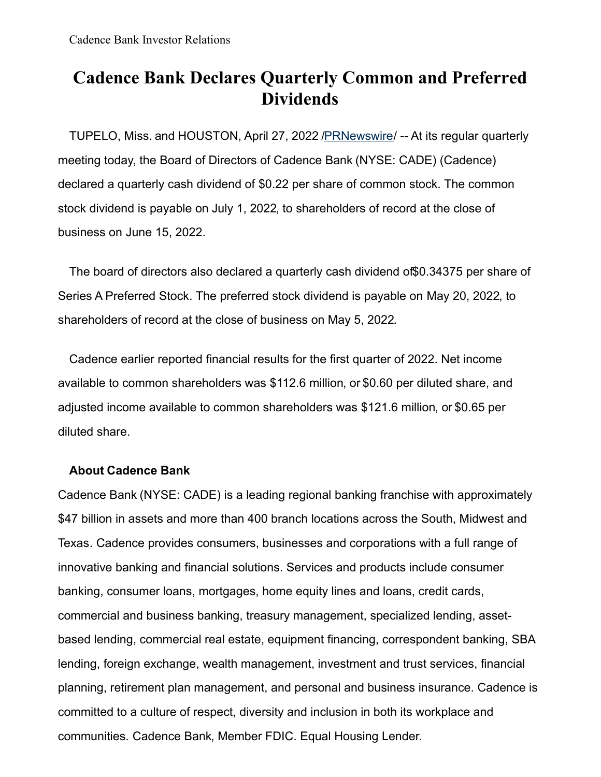## **Cadence Bank Declares Quarterly Common and Preferred Dividends**

TUPELO, Miss. and HOUSTON, April 27, 2022 [/PRNewswire](http://www.prnewswire.com/)/ -- At its regular quarterly meeting today, the Board of Directors of Cadence Bank (NYSE: CADE) (Cadence) declared a quarterly cash dividend of \$0.22 per share of common stock. The common stock dividend is payable on July 1, 2022, to shareholders of record at the close of business on June 15, 2022.

The board of directors also declared a quarterly cash dividend of\$0.34375 per share of Series A Preferred Stock. The preferred stock dividend is payable on May 20, 2022, to shareholders of record at the close of business on May 5, 2022.

Cadence earlier reported financial results for the first quarter of 2022. Net income available to common shareholders was \$112.6 million, or \$0.60 per diluted share, and adjusted income available to common shareholders was \$121.6 million, or \$0.65 per diluted share.

## **About Cadence Bank**

Cadence Bank (NYSE: CADE) is a leading regional banking franchise with approximately \$47 billion in assets and more than 400 branch locations across the South, Midwest and Texas. Cadence provides consumers, businesses and corporations with a full range of innovative banking and financial solutions. Services and products include consumer banking, consumer loans, mortgages, home equity lines and loans, credit cards, commercial and business banking, treasury management, specialized lending, assetbased lending, commercial real estate, equipment financing, correspondent banking, SBA lending, foreign exchange, wealth management, investment and trust services, financial planning, retirement plan management, and personal and business insurance. Cadence is committed to a culture of respect, diversity and inclusion in both its workplace and communities. Cadence Bank, Member FDIC. Equal Housing Lender.